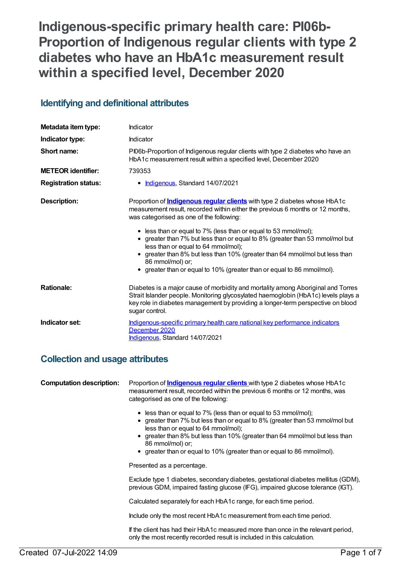**Indigenous-specific primary health care: PI06b-Proportion of Indigenous regular clients with type 2 diabetes who have an HbA1c measurement result within a specified level, December 2020**

# **Identifying and definitional attributes**

| Metadata item type:         | Indicator                                                                                                                                                                                                                                                                                                                                                                                                                                                                                                                                                                           |
|-----------------------------|-------------------------------------------------------------------------------------------------------------------------------------------------------------------------------------------------------------------------------------------------------------------------------------------------------------------------------------------------------------------------------------------------------------------------------------------------------------------------------------------------------------------------------------------------------------------------------------|
| Indicator type:             | Indicator                                                                                                                                                                                                                                                                                                                                                                                                                                                                                                                                                                           |
| Short name:                 | Pl06b-Proportion of Indigenous regular clients with type 2 diabetes who have an<br>HbA1c measurement result within a specified level, December 2020                                                                                                                                                                                                                                                                                                                                                                                                                                 |
| <b>METEOR identifier:</b>   | 739353                                                                                                                                                                                                                                                                                                                                                                                                                                                                                                                                                                              |
| <b>Registration status:</b> | Indigenous, Standard 14/07/2021                                                                                                                                                                                                                                                                                                                                                                                                                                                                                                                                                     |
| <b>Description:</b>         | Proportion of <i>Indigenous regular clients</i> with type 2 diabetes whose HbA1c<br>measurement result, recorded within either the previous 6 months or 12 months,<br>was categorised as one of the following:<br>• less than or equal to 7% (less than or equal to 53 mmol/mol);<br>• greater than 7% but less than or equal to 8% (greater than 53 mmol/mol but<br>less than or equal to 64 mmol/mol);<br>greater than 8% but less than 10% (greater than 64 mmol/mol but less than<br>86 mmol/mol) or;<br>• greater than or equal to 10% (greater than or equal to 86 mmol/mol). |
| <b>Rationale:</b>           | Diabetes is a major cause of morbidity and mortality among Aboriginal and Torres<br>Strait Islander people. Monitoring glycosylated haemoglobin (HbA1c) levels plays a<br>key role in diabetes management by providing a longer-term perspective on blood<br>sugar control.                                                                                                                                                                                                                                                                                                         |
| Indicator set:              | Indigenous-specific primary health care national key performance indicators<br>December 2020<br>Indigenous, Standard 14/07/2021                                                                                                                                                                                                                                                                                                                                                                                                                                                     |

# **Collection and usage attributes**

| <b>Computation description:</b> | Proportion of <b>Indigenous regular clients</b> with type 2 diabetes whose HbA1c<br>measurement result, recorded within the previous 6 months or 12 months, was<br>categorised as one of the following:                                                                                                                                                             |
|---------------------------------|---------------------------------------------------------------------------------------------------------------------------------------------------------------------------------------------------------------------------------------------------------------------------------------------------------------------------------------------------------------------|
|                                 | • less than or equal to 7% (less than or equal to 53 mmol/mol);<br>• greater than 7% but less than or equal to 8% (greater than 53 mmol/mol but<br>less than or equal to 64 mmol/mol);<br>• greater than 8% but less than 10% (greater than 64 mmol/mol but less than<br>86 mmol/mol) or:<br>• greater than or equal to 10% (greater than or equal to 86 mmol/mol). |
|                                 | Presented as a percentage.                                                                                                                                                                                                                                                                                                                                          |
|                                 | Exclude type 1 diabetes, secondary diabetes, gestational diabetes mellitus (GDM),<br>previous GDM, impaired fasting glucose (IFG), impaired glucose tolerance (IGT).                                                                                                                                                                                                |
|                                 | Calculated separately for each HbA1c range, for each time period.                                                                                                                                                                                                                                                                                                   |
|                                 | Include only the most recent HbA1c measurement from each time period.                                                                                                                                                                                                                                                                                               |
|                                 | If the client has had their HbA1c measured more than once in the relevant period,<br>only the most recently recorded result is included in this calculation.                                                                                                                                                                                                        |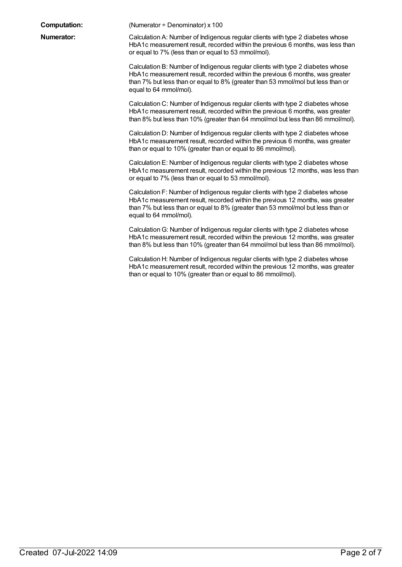**Computation:** (Numerator ÷ Denominator) x 100

**Numerator:** Calculation A: Number of Indigenous regular clients with type 2 diabetes whose HbA1c measurement result, recorded within the previous 6 months, was less than or equal to 7% (less than or equal to 53 mmol/mol).

> Calculation B: Number of Indigenous regular clients with type 2 diabetes whose HbA1c measurement result, recorded within the previous 6 months, was greater than 7% but less than or equal to 8% (greater than 53 mmol/mol but less than or equal to 64 mmol/mol).

Calculation C: Number of Indigenous regular clients with type 2 diabetes whose HbA1c measurement result, recorded within the previous 6 months, was greater than 8% but less than 10% (greater than 64 mmol/mol but less than 86 mmol/mol).

Calculation D: Number of Indigenous regular clients with type 2 diabetes whose HbA1c measurement result, recorded within the previous 6 months, was greater than or equal to 10% (greater than or equal to 86 mmol/mol).

Calculation E: Number of Indigenous regular clients with type 2 diabetes whose HbA1c measurement result, recorded within the previous 12 months, was less than or equal to 7% (less than or equal to 53 mmol/mol).

Calculation F: Number of Indigenous regular clients with type 2 diabetes whose HbA1c measurement result, recorded within the previous 12 months, was greater than 7% but less than or equal to 8% (greater than 53 mmol/mol but less than or equal to 64 mmol/mol).

CalculationG: Number of Indigenous regular clients with type 2 diabetes whose HbA1c measurement result, recorded within the previous 12 months, was greater than 8% but less than 10% (greater than 64 mmol/mol but less than 86 mmol/mol).

Calculation H: Number of Indigenous regular clients with type 2 diabetes whose HbA1c measurement result, recorded within the previous 12 months, was greater than or equal to 10% (greater than or equal to 86 mmol/mol).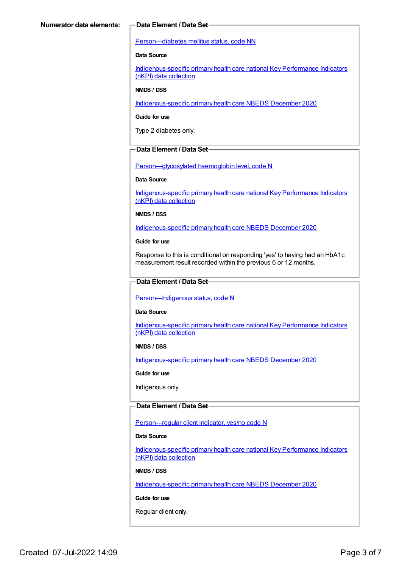#### [Person—diabetes](https://meteor.aihw.gov.au/content/270194) mellitus status, code NN

## **Data Source**

[Indigenous-specific](https://meteor.aihw.gov.au/content/737914) primary health care national Key Performance Indicators (nKPI) data collection

#### **NMDS / DSS**

[Indigenous-specific](https://meteor.aihw.gov.au/content/738532) primary health care NBEDS December 2020

#### **Guide for use**

Type 2 diabetes only.

## **Data Element / Data Set**

[Person—glycosylated](https://meteor.aihw.gov.au/content/589601) haemoglobin level, code N

#### **Data Source**

[Indigenous-specific](https://meteor.aihw.gov.au/content/737914) primary health care national Key Performance Indicators (nKPI) data collection

#### **NMDS / DSS**

[Indigenous-specific](https://meteor.aihw.gov.au/content/738532) primary health care NBEDS December 2020

#### **Guide for use**

Response to this is conditional on responding 'yes' to having had an HbA1c measurement result recorded within the previous 6 or 12 months.

## **Data Element / Data Set**

#### [Person—Indigenous](https://meteor.aihw.gov.au/content/602543) status, code N

#### **Data Source**

[Indigenous-specific](https://meteor.aihw.gov.au/content/737914) primary health care national Key Performance Indicators (nKPI) data collection

#### **NMDS / DSS**

[Indigenous-specific](https://meteor.aihw.gov.au/content/738532) primary health care NBEDS December 2020

#### **Guide for use**

Indigenous only.

# **Data Element / Data Set**

#### Person-regular client indicator, yes/no code N

#### **Data Source**

[Indigenous-specific](https://meteor.aihw.gov.au/content/737914) primary health care national Key Performance Indicators (nKPI) data collection

## **NMDS / DSS**

[Indigenous-specific](https://meteor.aihw.gov.au/content/738532) primary health care NBEDS December 2020

## **Guide for use**

Regular client only.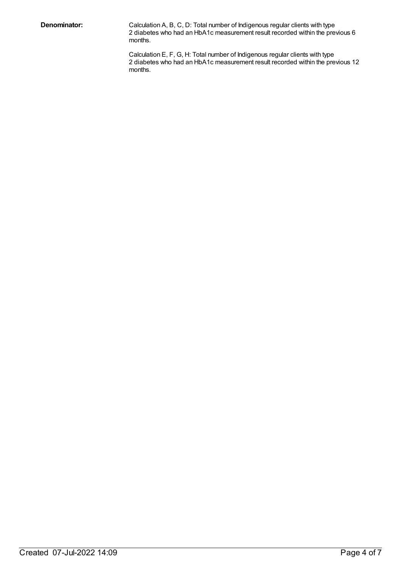**Denominator:** Calculation A, B, C, D: Total number of Indigenous regular clients with type 2 diabetes who had an HbA1c measurement result recorded within the previous 6 months.

> Calculation E, F, G, H: Total number of Indigenous regular clients with type 2 diabetes who had an HbA1c measurement result recorded within the previous 12 months.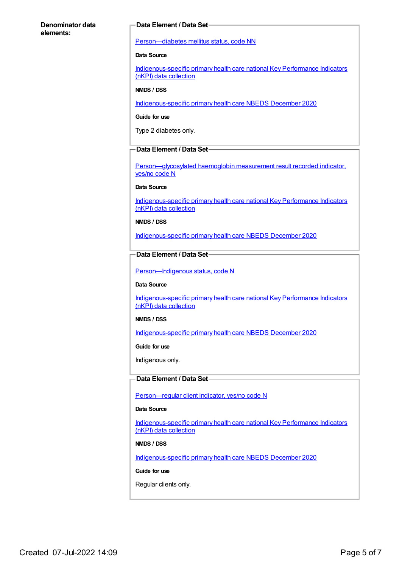# **Denominator data elements:**

# **Data Element / Data Set**

[Person—diabetes](https://meteor.aihw.gov.au/content/270194) mellitus status, code NN

## **Data Source**

[Indigenous-specific](https://meteor.aihw.gov.au/content/737914) primary health care national Key Performance Indicators (nKPI) data collection

#### **NMDS / DSS**

[Indigenous-specific](https://meteor.aihw.gov.au/content/738532) primary health care NBEDS December 2020

#### **Guide for use**

Type 2 diabetes only.

## **Data Element / Data Set**

[Person—glycosylated](https://meteor.aihw.gov.au/content/441495) haemoglobin measurement result recorded indicator, yes/no code N

# **Data Source**

[Indigenous-specific](https://meteor.aihw.gov.au/content/737914) primary health care national Key Performance Indicators (nKPI) data collection

#### **NMDS / DSS**

[Indigenous-specific](https://meteor.aihw.gov.au/content/738532) primary health care NBEDS December 2020

# **Data Element / Data Set**

Person-Indigenous status, code N

#### **Data Source**

[Indigenous-specific](https://meteor.aihw.gov.au/content/737914) primary health care national Key Performance Indicators (nKPI) data collection

#### **NMDS / DSS**

[Indigenous-specific](https://meteor.aihw.gov.au/content/738532) primary health care NBEDS December 2020

#### **Guide for use**

Indigenous only.

## **Data Element / Data Set**

[Person—regular](https://meteor.aihw.gov.au/content/686291) client indicator, yes/no code N

# **Data Source**

[Indigenous-specific](https://meteor.aihw.gov.au/content/737914) primary health care national Key Performance Indicators (nKPI) data collection

#### **NMDS / DSS**

[Indigenous-specific](https://meteor.aihw.gov.au/content/738532) primary health care NBEDS December 2020

#### **Guide for use**

Regular clients only.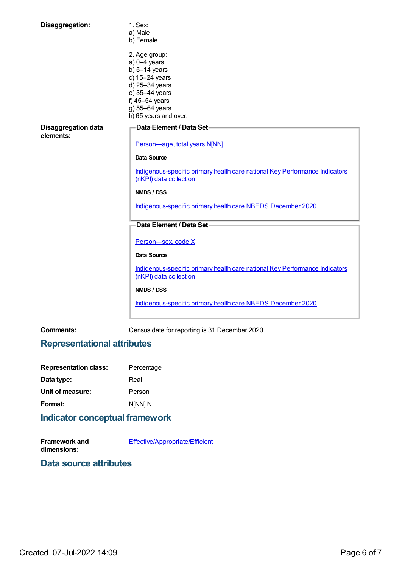| Disaggregation:                         | 1. Sex:                                                                                               |
|-----------------------------------------|-------------------------------------------------------------------------------------------------------|
|                                         | a) Male                                                                                               |
|                                         | b) Female.                                                                                            |
|                                         | 2. Age group:                                                                                         |
|                                         | $a)$ 0-4 years                                                                                        |
|                                         | b) $5-14$ years                                                                                       |
|                                         | c) 15-24 years                                                                                        |
|                                         | d) 25-34 years                                                                                        |
|                                         | e) 35-44 years                                                                                        |
|                                         | f) 45-54 years                                                                                        |
|                                         | g) 55-64 years                                                                                        |
|                                         | h) 65 years and over.                                                                                 |
|                                         |                                                                                                       |
| <b>Disaggregation data</b><br>elements: | Data Element / Data Set-                                                                              |
|                                         | Person-age, total years N[NN]                                                                         |
|                                         | <b>Data Source</b>                                                                                    |
|                                         | Indigenous-specific primary health care national Key Performance Indicators<br>(nKPI) data collection |
|                                         | NMDS / DSS                                                                                            |
|                                         | Indigenous-specific primary health care NBEDS December 2020                                           |
|                                         |                                                                                                       |
|                                         | Data Element / Data Set-                                                                              |
|                                         | Person-sex, code X                                                                                    |
|                                         | <b>Data Source</b>                                                                                    |
|                                         | Indigenous-specific primary health care national Key Performance Indicators<br>(nKPI) data collection |
|                                         | NMDS / DSS                                                                                            |
|                                         | Indigenous-specific primary health care NBEDS December 2020                                           |
|                                         |                                                                                                       |

**Comments:** Census date for reporting is 31 December 2020.

# **Representational attributes**

| <b>Representation class:</b> | Percentage |
|------------------------------|------------|
| Data type:                   | Real       |
| Unit of measure:             | Person     |
| Format:                      | N[NN].N    |
|                              |            |

# **Indicator conceptual framework**

**Framework and dimensions:** [Effective/Appropriate/Efficient](https://meteor.aihw.gov.au/content/410681)

# **Data source attributes**